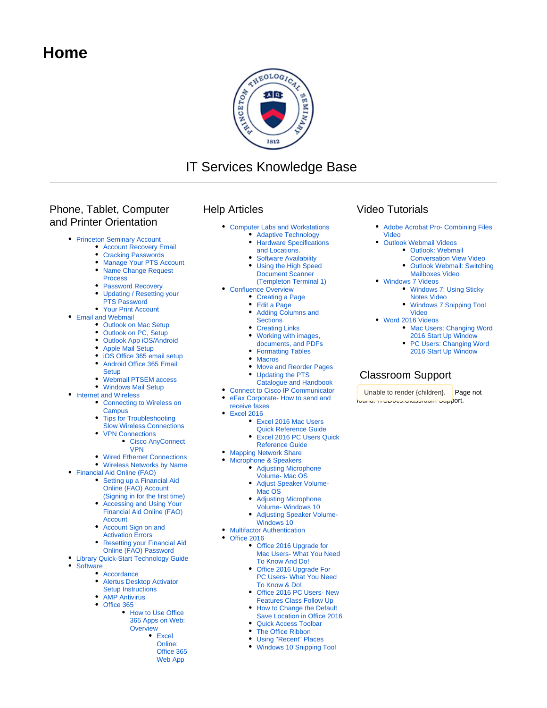# **Home**



# IT Services Knowledge Base

## Phone, Tablet, Computer and Printer Orientation

- [Princeton Seminary Account](https://confluence.ptsem.edu/display/ITSKnowledge/Princeton+Seminary+Account)
	- [Account Recovery Email](https://confluence.ptsem.edu/display/ITSKnowledge/Account+Recovery+Email)
	- [Cracking Passwords](https://confluence.ptsem.edu/display/ITSKnowledge/Cracking+Passwords)
	- [Manage Your PTS Account](https://confluence.ptsem.edu/display/ITSKnowledge/Manage+Your+PTS+Account) [Name Change Request](https://confluence.ptsem.edu/display/ITSKnowledge/Name+Change+Request+Process)
	- [Process](https://confluence.ptsem.edu/display/ITSKnowledge/Name+Change+Request+Process)
	- [Password Recovery](https://confluence.ptsem.edu/display/ITSKnowledge/Password+Recovery)
	- [Updating / Resetting your](https://confluence.ptsem.edu/pages/viewpage.action?pageId=20028500)  [PTS Password](https://confluence.ptsem.edu/pages/viewpage.action?pageId=20028500)
	- [Your Print Account](https://confluence.ptsem.edu/display/ITSKnowledge/Your+Print+Account)
- [Email and Webmail](https://confluence.ptsem.edu/display/ITSKnowledge/Email+and+Webmail)
	- [Outlook on Mac Setup](https://confluence.ptsem.edu/display/ITSKnowledge/Outlook+on+Mac+Setup)
	- [Outlook on PC, Setup](https://confluence.ptsem.edu/display/ITSKnowledge/Outlook+on+PC%2C+Setup)
	- [Outlook App iOS/Android](https://confluence.ptsem.edu/pages/viewpage.action?pageId=20028435)
	- [Apple Mail Setup](https://confluence.ptsem.edu/display/ITSKnowledge/Apple+Mail+Setup)
	- $\bullet$ [iOS Office 365 email setup](https://confluence.ptsem.edu/display/ITSKnowledge/iOS+Office+365+email+setup)
	- [Android Office 365 Email](https://confluence.ptsem.edu/display/ITSKnowledge/Android+Office+365+Email+Setup)   $\bullet$
	- **[Setup](https://confluence.ptsem.edu/display/ITSKnowledge/Android+Office+365+Email+Setup)**
	- [Webmail PTSEM access](https://confluence.ptsem.edu/display/ITSKnowledge/Webmail+PTSEM+access)
	- [Windows Mail Setup](https://confluence.ptsem.edu/display/ITSKnowledge/Windows+Mail+Setup)
- [Internet and Wireless](https://confluence.ptsem.edu/display/ITSKnowledge/Internet+and+Wireless)
	- [Connecting to Wireless on](https://confluence.ptsem.edu/display/ITSKnowledge/Connecting+to+Wireless+on+Campus)  **[Campus](https://confluence.ptsem.edu/display/ITSKnowledge/Connecting+to+Wireless+on+Campus)**
	- [Tips for Troubleshooting](https://confluence.ptsem.edu/display/ITSKnowledge/Tips+for+Troubleshooting+Slow+Wireless+Connections)  [Slow Wireless Connections](https://confluence.ptsem.edu/display/ITSKnowledge/Tips+for+Troubleshooting+Slow+Wireless+Connections)
	- [VPN Connections](https://confluence.ptsem.edu/display/ITSKnowledge/VPN+Connections) [Cisco AnyConnect](https://confluence.ptsem.edu/display/ITSKnowledge/Cisco+AnyConnect+VPN) 
		- [VPN](https://confluence.ptsem.edu/display/ITSKnowledge/Cisco+AnyConnect+VPN)
	- [Wired Ethernet Connections](https://confluence.ptsem.edu/display/ITSKnowledge/Wired+Ethernet+Connections)
	- [Wireless Networks by Name](https://confluence.ptsem.edu/display/ITSKnowledge/Wireless+Networks+by+Name)
- [Financial Aid Online \(FAO\)](https://confluence.ptsem.edu/pages/viewpage.action?pageId=20029828)
	- Setting up a Financial Aid [Online \(FAO\) Account](https://confluence.ptsem.edu/pages/viewpage.action?pageId=20029841)
	- [\(Signing in for the first time\)](https://confluence.ptsem.edu/pages/viewpage.action?pageId=20029841) • Accessing and Using Your [Financial Aid Online \(FAO\)](https://confluence.ptsem.edu/display/ITSKnowledge/Accessing+and+Using+Your+Financial+Aid+Online+%28FAO%29+Account)  [Account](https://confluence.ptsem.edu/display/ITSKnowledge/Accessing+and+Using+Your+Financial+Aid+Online+%28FAO%29+Account)
	- Account Sign on and
	- [Activation Errors](https://confluence.ptsem.edu/display/ITSKnowledge/Account+Sign+on+and+Activation+Errors)
	- [Resetting your Financial Aid](https://confluence.ptsem.edu/display/ITSKnowledge/Resetting+your+Financial+Aid+Online+%28FAO%29+Password)
	- [Online \(FAO\) Password](https://confluence.ptsem.edu/display/ITSKnowledge/Resetting+your+Financial+Aid+Online+%28FAO%29+Password)
- [Library Quick-Start Technology Guide](https://confluence.ptsem.edu/display/ITSKnowledge/Library+Quick-Start+Technology+Guide)
	- **[Software](https://confluence.ptsem.edu/display/ITSKnowledge/Software)** 
		- [Accordance](https://confluence.ptsem.edu/display/ITSKnowledge/Accordance)
		- [Alertus Desktop Activator](https://confluence.ptsem.edu/display/ITSKnowledge/Alertus+Desktop+Activator+Setup+Instructions)
		- [Setup Instructions](https://confluence.ptsem.edu/display/ITSKnowledge/Alertus+Desktop+Activator+Setup+Instructions)
		- [AMP Antivirus](https://confluence.ptsem.edu/display/ITSKnowledge/AMP+Antivirus) [Office 365](https://confluence.ptsem.edu/display/ITSKnowledge/Office+365)
			- How to Use Office [365 Apps on Web:](https://confluence.ptsem.edu/display/ITSKnowledge/How+to+Use+Office+365+Apps+on+Web%3A+Overview)  **[Overview](https://confluence.ptsem.edu/display/ITSKnowledge/How+to+Use+Office+365+Apps+on+Web%3A+Overview)** 
				- $\bullet$  Excel
				- [Online:](https://confluence.ptsem.edu/display/ITSKnowledge/Excel+Online%3A+Office+365+Web+App) 
					- [Office 365](https://confluence.ptsem.edu/display/ITSKnowledge/Excel+Online%3A+Office+365+Web+App)  [Web App](https://confluence.ptsem.edu/display/ITSKnowledge/Excel+Online%3A+Office+365+Web+App)

### Help Articles

- [Computer Labs and Workstations](https://confluence.ptsem.edu/display/ITSKnowledge/Computer+Labs+and+Workstations)
	- [Adaptive Technology](https://confluence.ptsem.edu/display/ITSKnowledge/Adaptive+Technology)
	- **Hardware Specifications** [and Locations.](https://confluence.ptsem.edu/pages/viewpage.action?pageId=20030884)
	-
	- **[Software Availability](https://confluence.ptsem.edu/display/ITSKnowledge/Software+Availability)** [Using the High Speed](https://confluence.ptsem.edu/pages/viewpage.action?pageId=38537005)
	- [Document Scanner](https://confluence.ptsem.edu/pages/viewpage.action?pageId=38537005)  [\(Templeton Terminal 1\)](https://confluence.ptsem.edu/pages/viewpage.action?pageId=38537005)
- [Confluence Overview](https://confluence.ptsem.edu/display/ITSKnowledge/Confluence+Overview)
	- [Creating a Page](https://confluence.ptsem.edu/display/ITSKnowledge/Creating+a+Page)
	- [Edit a Page](https://confluence.ptsem.edu/display/ITSKnowledge/Edit+a+Page)
	- [Adding Columns and](https://confluence.ptsem.edu/display/ITSKnowledge/Adding+Columns+and+Sections)  **[Sections](https://confluence.ptsem.edu/display/ITSKnowledge/Adding+Columns+and+Sections)**
	- [Creating Links](https://confluence.ptsem.edu/display/ITSKnowledge/Creating+Links)
	- [Working with images,](https://confluence.ptsem.edu/display/ITSKnowledge/Working+with+images%2C+documents%2C+and+PDFs)
	- [documents, and PDFs](https://confluence.ptsem.edu/display/ITSKnowledge/Working+with+images%2C+documents%2C+and+PDFs) • [Formatting Tables](https://confluence.ptsem.edu/display/ITSKnowledge/Formatting+Tables)
	- [Macros](https://confluence.ptsem.edu/display/ITSKnowledge/Macros)
	- [Move and Reorder Pages](https://confluence.ptsem.edu/display/ITSKnowledge/Move+and+Reorder+Pages)
	- [Updating the PTS](https://confluence.ptsem.edu/display/ITSKnowledge/Updating+the+PTS+Catalogue+and+Handbook) 
		- [Catalogue and Handbook](https://confluence.ptsem.edu/display/ITSKnowledge/Updating+the+PTS+Catalogue+and+Handbook)
- [Connect to Cisco IP Communicator](https://confluence.ptsem.edu/display/ITSKnowledge/Connect+to+Cisco+IP+Communicator)
- eFax Corporate- How to send and
	- [receive faxes](https://confluence.ptsem.edu/display/ITSKnowledge/eFax+Corporate-+How+to+send+and+receive+faxes)
- [Excel 2016](https://confluence.ptsem.edu/display/ITSKnowledge/Excel+2016)
	- [Excel 2016 Mac Users](https://confluence.ptsem.edu/display/ITSKnowledge/Excel+2016+Mac+Users+Quick+Reference+Guide)
	- [Quick Reference Guide](https://confluence.ptsem.edu/display/ITSKnowledge/Excel+2016+Mac+Users+Quick+Reference+Guide)
	- [Excel 2016 PC Users Quick](https://confluence.ptsem.edu/display/ITSKnowledge/Excel+2016+PC+Users+Quick+Reference+Guide)
	- [Reference Guide](https://confluence.ptsem.edu/display/ITSKnowledge/Excel+2016+PC+Users+Quick+Reference+Guide)
- [Mapping Network Share](https://confluence.ptsem.edu/display/ITSKnowledge/Mapping+Network+Share)
- [Microphone & Speakers](https://confluence.ptsem.edu/pages/viewpage.action?pageId=9145881)
	- [Adjusting Microphone](https://confluence.ptsem.edu/display/ITSKnowledge/Adjusting+Microphone+Volume-+Mac+OS)
	- [Volume- Mac OS](https://confluence.ptsem.edu/display/ITSKnowledge/Adjusting+Microphone+Volume-+Mac+OS)
	- [Adjust Speaker Volume-](https://confluence.ptsem.edu/display/ITSKnowledge/Adjust+Speaker+Volume-+Mac+OS)[Mac OS](https://confluence.ptsem.edu/display/ITSKnowledge/Adjust+Speaker+Volume-+Mac+OS)
	- [Adjusting Microphone](https://confluence.ptsem.edu/display/ITSKnowledge/Adjusting+Microphone+Volume-+Windows+10)
	- [Volume- Windows 10](https://confluence.ptsem.edu/display/ITSKnowledge/Adjusting+Microphone+Volume-+Windows+10)
	- [Adjusting Speaker Volume-](https://confluence.ptsem.edu/display/ITSKnowledge/Adjusting+Speaker+Volume-+Windows+10)[Windows 10](https://confluence.ptsem.edu/display/ITSKnowledge/Adjusting+Speaker+Volume-+Windows+10)
- **[Multifactor Authentication](https://confluence.ptsem.edu/display/ITSKnowledge/Multifactor+Authentication)**
- [Office 2016](https://confluence.ptsem.edu/display/ITSKnowledge/Office+2016)
	- [Office 2016 Upgrade for](https://confluence.ptsem.edu/pages/viewpage.action?pageId=6389770)  [Mac Users- What You Need](https://confluence.ptsem.edu/pages/viewpage.action?pageId=6389770)  [To Know And Do!](https://confluence.ptsem.edu/pages/viewpage.action?pageId=6389770)
	- [Office 2016 Upgrade For](https://confluence.ptsem.edu/pages/viewpage.action?pageId=4886322)  [PC Users- What You Need](https://confluence.ptsem.edu/pages/viewpage.action?pageId=4886322)  [To Know & Do!](https://confluence.ptsem.edu/pages/viewpage.action?pageId=4886322)
	- [Office 2016 PC Users- New](https://confluence.ptsem.edu/display/ITSKnowledge/Office+2016+PC+Users-+New+Features+Class+Follow+Up)  [Features Class Follow Up](https://confluence.ptsem.edu/display/ITSKnowledge/Office+2016+PC+Users-+New+Features+Class+Follow+Up)
	- [How to Change the Default](https://confluence.ptsem.edu/display/ITSKnowledge/How+to+Change+the+Default+Save+Location+in+Office+2016)
	- [Save Location in Office 2016](https://confluence.ptsem.edu/display/ITSKnowledge/How+to+Change+the+Default+Save+Location+in+Office+2016)
	- [Quick Access Toolbar](https://confluence.ptsem.edu/display/ITSKnowledge/Quick+Access+Toolbar)
	- [The Office Ribbon](https://confluence.ptsem.edu/display/ITSKnowledge/The+Office+Ribbon) [Using "Recent" Places](https://confluence.ptsem.edu/pages/viewpage.action?pageId=2330350)
	- [Windows 10 Snipping Tool](https://confluence.ptsem.edu/display/ITSKnowledge/Windows+10+Snipping+Tool)

### Video Tutorials

- [Adobe Acrobat Pro- Combining Files](https://confluence.ptsem.edu/display/ITSKnowledge/Adobe+Acrobat+Pro-+Combining+Files+Video)  [Video](https://confluence.ptsem.edu/display/ITSKnowledge/Adobe+Acrobat+Pro-+Combining+Files+Video)
- [Outlook Webmail Videos](https://confluence.ptsem.edu/display/ITSKnowledge/Outlook+Webmail+Videos) • Outlook: Webmail
	- [Conversation View Video](https://confluence.ptsem.edu/display/ITSKnowledge/Outlook%3A+Webmail+Conversation+View+Video) • Outlook Webmail: Switching
	- [Mailboxes Video](https://confluence.ptsem.edu/display/ITSKnowledge/Outlook+Webmail%3A+Switching+Mailboxes+Video)
- [Windows 7 Videos](https://confluence.ptsem.edu/display/ITSKnowledge/Windows+7+Videos)
	- [Windows 7: Using Sticky](https://confluence.ptsem.edu/display/ITSKnowledge/Windows+7%3A+Using+Sticky+Notes+Video)  [Notes Video](https://confluence.ptsem.edu/display/ITSKnowledge/Windows+7%3A+Using+Sticky+Notes+Video)
	- [Windows 7 Snipping Tool](https://confluence.ptsem.edu/display/ITSKnowledge/Windows+7+Snipping+Tool+Video)  [Video](https://confluence.ptsem.edu/display/ITSKnowledge/Windows+7+Snipping+Tool+Video)
- [Word 2016 Videos](https://confluence.ptsem.edu/display/ITSKnowledge/Word+2016+Videos)

Classroom Support

Unable to render {children}. Page not found: ITSDocs:Classroom Support.

• Mac Users: Changing Word [2016 Start Up Window](https://confluence.ptsem.edu/display/ITSKnowledge/Mac+Users%3A+Changing+Word+2016+Start+Up+Window) • PC Users: Changing Word

[2016 Start Up Window](https://confluence.ptsem.edu/display/ITSKnowledge/PC+Users%3A+Changing+Word+2016+Start+Up+Window)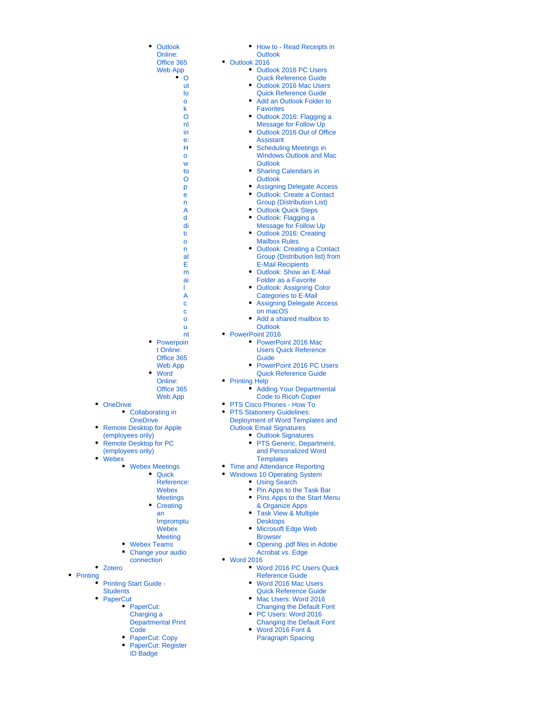|           | • Outlook             | How to - Read Receipts in                                               |
|-----------|-----------------------|-------------------------------------------------------------------------|
|           | Online:               | <b>Outlook</b>                                                          |
|           | Office 365            | Outlook 2016                                                            |
|           | Web App               | Outlook 2016 PC Users                                                   |
|           | ٠<br>O                | <b>Quick Reference Guide</b>                                            |
|           | ut                    | • Outlook 2016 Mac Users                                                |
|           | lo                    | <b>Quick Reference Guide</b>                                            |
|           | o                     | Add an Outlook Folder to<br>$\bullet$                                   |
|           | k                     | <b>Favorites</b>                                                        |
|           | O                     | Outlook 2016: Flagging a<br>٠                                           |
|           | nl                    | <b>Message for Follow Up</b>                                            |
|           | in                    | Outlook 2016 Out of Office                                              |
|           | e:                    | <b>Assistant</b>                                                        |
|           | н                     | <b>Scheduling Meetings in</b>                                           |
|           | O                     | <b>Windows Outlook and Mac</b>                                          |
|           | W                     | <b>Outlook</b><br>٠                                                     |
|           | to                    | <b>Sharing Calendars in</b>                                             |
|           | O                     | <b>Outlook</b>                                                          |
|           | p                     | <b>Assigning Delegate Access</b>                                        |
|           | е                     | <b>Outlook: Create a Contact</b><br>$\bullet$                           |
|           | n                     | <b>Group (Distribution List)</b>                                        |
|           | Α                     | <b>Outlook Quick Steps</b><br>٠                                         |
|           | d                     | • Outlook: Flagging a                                                   |
|           | di                    | <b>Message for Follow Up</b><br>٠                                       |
|           | ti                    | Outlook 2016: Creating                                                  |
|           | o                     | <b>Mailbox Rules</b><br>$\bullet$                                       |
|           | n                     | <b>Outlook: Creating a Contact</b>                                      |
|           | al                    | Group (Distribution list) from                                          |
|           | E                     | <b>E-Mail Recipients</b><br><b>Outlook: Show an E-Mail</b><br>$\bullet$ |
|           | m                     |                                                                         |
|           | ai                    | <b>Folder as a Favorite</b>                                             |
|           | L                     | <b>Outlook: Assigning Color</b>                                         |
|           | Α                     | <b>Categories to E-Mail</b>                                             |
|           | C                     | <b>Assigning Delegate Access</b>                                        |
|           | Ċ                     | on macOS                                                                |
|           | o                     | Add a shared mailbox to                                                 |
|           | u                     | <b>Outlook</b>                                                          |
| $\bullet$ | nt<br>Powerpoin       | PowerPoint 2016<br>PowerPoint 2016 Mac                                  |
|           | t Online:             | <b>Users Quick Reference</b>                                            |
|           |                       |                                                                         |
|           | Office 365            | Guide<br>٠                                                              |
|           | <b>Web App</b>        | <b>PowerPoint 2016 PC Users</b>                                         |
|           | • Word                | <b>Quick Reference Guide</b>                                            |
|           | Online:<br>Office 365 | <b>Printing Help</b><br><b>Adding Your Departmental</b>                 |
|           |                       |                                                                         |
|           | <b>Web App</b>        | <b>Code to Ricoh Copier</b><br>٠                                        |
|           |                       | PTS Cisco Phones - How To<br>٠                                          |
|           | porating in           | <b>PTS Stationery Guidelines:</b><br>Deployment of Word Templates and   |
| rive      |                       |                                                                         |
|           | op for Apple          | <b>Outlook Email Signatures</b>                                         |
| ly)       |                       | • Outlook Signatures                                                    |
|           | op for PC             | PTS Generic, Department,                                                |
| ly)       |                       | and Personalized Word<br><b>Templates</b>                               |
|           | x Meetings            | • Time and Attendance Reporting                                         |
|           | • Quick               | <b>Windows 10 Operating System</b>                                      |
|           | Reference:            | • Using Search                                                          |
|           | Webex                 | $\bullet$<br>Pin Apps to the Task Bar                                   |
|           | <b>Meetings</b>       | • Pins Apps to the Start Menu                                           |
|           | • Creating            | & Organize Apps                                                         |
|           | an                    | • Task View & Multiple                                                  |
|           | Impromptu             | <b>Desktops</b>                                                         |
|           | Webex                 | • Microsoft Edge Web                                                    |
|           | <b>Meeting</b>        | <b>Browser</b>                                                          |
|           | x Teams               | • Opening .pdf files in Adobe                                           |
|           | ge your audio         | <b>Acrobat vs. Edge</b>                                                 |
|           | ection                | <b>Word 2016</b>                                                        |
|           |                       | • Word 2016 PC Users Quick                                              |
|           |                       | <b>Reference Guide</b>                                                  |
|           | Guide -               | • Word 2016 Mac Users                                                   |
|           |                       | <b>Quick Reference Guide</b>                                            |
|           |                       | • Mac Users: Word 2016                                                  |
| rCut:     |                       | <b>Changing the Default Font</b>                                        |
|           | ing a                 | PC Users: Word 2016                                                     |
|           | rtmental Print        | <b>Changing the Default Font</b>                                        |
|           |                       | • Word 2016 Font &                                                      |
|           | Cut: Copy             | <b>Paragraph Spacing</b>                                                |
|           | Cut: Register         |                                                                         |
|           |                       |                                                                         |

- $\bullet$  Pov [t Online:](https://confluence.ptsem.edu/display/ITSKnowledge/Powerpoint+Online%3A+Office+365+Web+App)
- Wel  $\bullet$ Wor Onl
- Offi<br>Wel [Web App](https://confluence.ptsem.edu/display/ITSKnowledge/Word+Online%3A+Office+365+Web+App)
- **[OneDrive](https://confluence.ptsem.edu/display/ITSKnowledge/OneDrive)** [Collaborating in](https://confluence.ptsem.edu/display/ITSKnowledge/Collaborating+in+OneDrive)  **[OneDrive](https://confluence.ptsem.edu/display/ITSKnowledge/Collaborating+in+OneDrive)**
- [Remote Desktop for Apple](https://confluence.ptsem.edu/pages/viewpage.action?pageId=3637279)  [\(employees only\)](https://confluence.ptsem.edu/pages/viewpage.action?pageId=3637279)
- [Remote Desktop for PC](https://confluence.ptsem.edu/pages/viewpage.action?pageId=2336170)  [\(employees only\)](https://confluence.ptsem.edu/pages/viewpage.action?pageId=2336170)
	- [Webex](https://confluence.ptsem.edu/display/ITSKnowledge/Webex)
		- [Webex Meetings](https://confluence.ptsem.edu/display/ITSKnowledge/Webex+Meetings) [Quick](https://confluence.ptsem.edu/display/ITSKnowledge/Quick+Reference%3A+Webex+Meetings)  Ref Wel
			- Me  $\bullet$  Cre [an](https://confluence.ptsem.edu/display/ITSKnowledge/Creating+an+Impromptu+Webex+Meeting)
			- Imp Web Me
		- Webex Team
		- Change your [connection](https://confluence.ptsem.edu/display/ITSKnowledge/Change+your+audio+connection)
- [Zotero](https://confluence.ptsem.edu/display/ITSKnowledge/Zotero)
- [Printing](https://confluence.ptsem.edu/display/ITSKnowledge/Printing)
	- [Printing Start Guide](https://confluence.ptsem.edu/display/ITSKnowledge/Printing+Start+Guide+-+Students)
	- **[Students](https://confluence.ptsem.edu/display/ITSKnowledge/Printing+Start+Guide+-+Students)** [PaperCut](https://confluence.ptsem.edu/display/ITSKnowledge/PaperCut)
		- [PaperCut:](https://confluence.ptsem.edu/display/ITSKnowledge/PaperCut%3A+Charging+a+Departmental+Print+Code)  [Charging a](https://confluence.ptsem.edu/display/ITSKnowledge/PaperCut%3A+Charging+a+Departmental+Print+Code)  [Departmental Print](https://confluence.ptsem.edu/display/ITSKnowledge/PaperCut%3A+Charging+a+Departmental+Print+Code)  [Code](https://confluence.ptsem.edu/display/ITSKnowledge/PaperCut%3A+Charging+a+Departmental+Print+Code)
			- [PaperCut: Copy](https://confluence.ptsem.edu/display/ITSKnowledge/PaperCut%3A+Copy) [PaperCut: Register](https://confluence.ptsem.edu/display/ITSKnowledge/PaperCut%3A+Register+ID+Badge)  [ID Badge](https://confluence.ptsem.edu/display/ITSKnowledge/PaperCut%3A+Register+ID+Badge)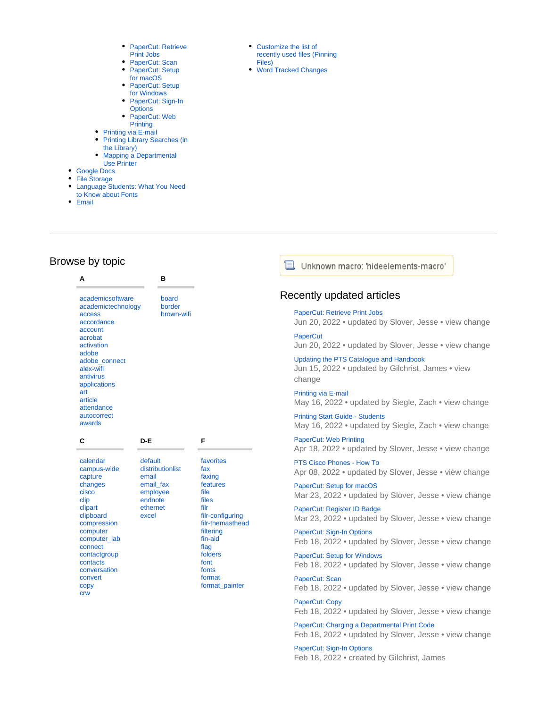- PaperCut: Retrieve [Print Jobs](https://confluence.ptsem.edu/display/ITSKnowledge/PaperCut%3A+Retrieve+Print+Jobs)
- [PaperCut: Scan](https://confluence.ptsem.edu/display/ITSKnowledge/PaperCut%3A+Scan)
- PaperCut: Setup [for macOS](https://confluence.ptsem.edu/display/ITSKnowledge/PaperCut%3A+Setup+for+macOS)
- PaperCut: Setup [for Windows](https://confluence.ptsem.edu/display/ITSKnowledge/PaperCut%3A+Setup+for+Windows)
- PaperCut: Sign-In

**B**

- **[Options](https://confluence.ptsem.edu/display/ITSKnowledge/PaperCut%3A+Sign-In+Options)** • PaperCut: Web
- **[Printing](https://confluence.ptsem.edu/display/ITSKnowledge/PaperCut%3A+Web+Printing)**
- [Printing via E-mail](https://confluence.ptsem.edu/display/ITSKnowledge/Printing+via+E-mail)
- Printing Library Searches (in [the Library\)](https://confluence.ptsem.edu/pages/viewpage.action?pageId=2328380)
- $\bullet$ [Mapping a Departmental](https://confluence.ptsem.edu/display/ITSKnowledge/Mapping+a+Departmental+Use+Printer)  [Use Printer](https://confluence.ptsem.edu/display/ITSKnowledge/Mapping+a+Departmental+Use+Printer)
- [Google Docs](https://confluence.ptsem.edu/display/ITSKnowledge/Google+Docs)
- [File Storage](https://confluence.ptsem.edu/display/ITSKnowledge/File+Storage)
- Language Students: What You Need
- [to Know about Fonts](https://confluence.ptsem.edu/display/ITSKnowledge/Language+Students%3A+What+You+Need+to+Know+about+Fonts)
- [Email](https://confluence.ptsem.edu/display/ITSKnowledge/Email)
- [Customize the list of](https://confluence.ptsem.edu/pages/viewpage.action?pageId=9765114)  [recently used files \(Pinning](https://confluence.ptsem.edu/pages/viewpage.action?pageId=9765114)  [Files\)](https://confluence.ptsem.edu/pages/viewpage.action?pageId=9765114)
- [Word Tracked Changes](https://confluence.ptsem.edu/display/ITSKnowledge/Word+Tracked+Changes)

#### 'E Unknown macro: 'hideelements-macro'

### Recently updated articles

#### [PaperCut: Retrieve Print Jobs](https://confluence.ptsem.edu/display/ITSKnowledge/PaperCut%3A+Retrieve+Print+Jobs)

Jun 20, 2022 • updated by [Slover, Jesse](https://confluence.ptsem.edu/display/~jesse.slover) • [view change](https://confluence.ptsem.edu/pages/diffpagesbyversion.action?pageId=91133833&selectedPageVersions=6&selectedPageVersions=5) **[PaperCut](https://confluence.ptsem.edu/display/ITSKnowledge/PaperCut)** 

Jun 20, 2022 • updated by [Slover, Jesse](https://confluence.ptsem.edu/display/~jesse.slover) • [view change](https://confluence.ptsem.edu/pages/diffpagesbyversion.action?pageId=91133802&selectedPageVersions=4&selectedPageVersions=3)

[Updating the PTS Catalogue and Handbook](https://confluence.ptsem.edu/display/ITSKnowledge/Updating+the+PTS+Catalogue+and+Handbook) Jun 15, 2022 • updated by [Gilchrist, James](https://confluence.ptsem.edu/display/~james.gilchrist) • [view](https://confluence.ptsem.edu/pages/diffpagesbyversion.action?pageId=9771001&selectedPageVersions=34&selectedPageVersions=33)  [change](https://confluence.ptsem.edu/pages/diffpagesbyversion.action?pageId=9771001&selectedPageVersions=34&selectedPageVersions=33)

[Printing via E-mail](https://confluence.ptsem.edu/display/ITSKnowledge/Printing+via+E-mail) May 16, 2022 • updated by [Siegle, Zach](https://confluence.ptsem.edu/display/~zach.siegle) • [view change](https://confluence.ptsem.edu/pages/diffpagesbyversion.action?pageId=1703961&selectedPageVersions=17&selectedPageVersions=16)

[Printing Start Guide - Students](https://confluence.ptsem.edu/display/ITSKnowledge/Printing+Start+Guide+-+Students) May 16, 2022 • updated by [Siegle, Zach](https://confluence.ptsem.edu/display/~zach.siegle) • [view change](https://confluence.ptsem.edu/pages/diffpagesbyversion.action?pageId=1704035&selectedPageVersions=5&selectedPageVersions=4)

[PaperCut: Web Printing](https://confluence.ptsem.edu/display/ITSKnowledge/PaperCut%3A+Web+Printing) Apr 18, 2022 • updated by [Slover, Jesse](https://confluence.ptsem.edu/display/~jesse.slover) • [view change](https://confluence.ptsem.edu/pages/diffpagesbyversion.action?pageId=91133867&selectedPageVersions=4&selectedPageVersions=3)

[PTS Cisco Phones - How To](https://confluence.ptsem.edu/display/ITSKnowledge/PTS+Cisco+Phones+-+How+To) Apr 08, 2022 • updated by [Slover, Jesse](https://confluence.ptsem.edu/display/~jesse.slover) • [view change](https://confluence.ptsem.edu/pages/diffpagesbyversion.action?pageId=13730782&selectedPageVersions=8&selectedPageVersions=7)

[PaperCut: Setup for macOS](https://confluence.ptsem.edu/display/ITSKnowledge/PaperCut%3A+Setup+for+macOS) Mar 23, 2022 • updated by [Slover, Jesse](https://confluence.ptsem.edu/display/~jesse.slover) • [view change](https://confluence.ptsem.edu/pages/diffpagesbyversion.action?pageId=91133849&selectedPageVersions=3&selectedPageVersions=2)

[PaperCut: Register ID Badge](https://confluence.ptsem.edu/display/ITSKnowledge/PaperCut%3A+Register+ID+Badge) Mar 23, 2022 • updated by [Slover, Jesse](https://confluence.ptsem.edu/display/~jesse.slover) • [view change](https://confluence.ptsem.edu/pages/diffpagesbyversion.action?pageId=91133830&selectedPageVersions=3&selectedPageVersions=2)

[PaperCut: Sign-In Options](https://confluence.ptsem.edu/display/ITSKnowledge/PaperCut%3A+Sign-In+Options) Feb 18, 2022 • updated by [Slover, Jesse](https://confluence.ptsem.edu/display/~jesse.slover) • [view change](https://confluence.ptsem.edu/pages/diffpagesbyversion.action?pageId=91133892&selectedPageVersions=4&selectedPageVersions=3)

[PaperCut: Setup for Windows](https://confluence.ptsem.edu/display/ITSKnowledge/PaperCut%3A+Setup+for+Windows) Feb 18, 2022 • updated by [Slover, Jesse](https://confluence.ptsem.edu/display/~jesse.slover) • [view change](https://confluence.ptsem.edu/pages/diffpagesbyversion.action?pageId=91133860&selectedPageVersions=2&selectedPageVersions=1)

[PaperCut: Scan](https://confluence.ptsem.edu/display/ITSKnowledge/PaperCut%3A+Scan) Feb 18, 2022 • updated by [Slover, Jesse](https://confluence.ptsem.edu/display/~jesse.slover) • [view change](https://confluence.ptsem.edu/pages/diffpagesbyversion.action?pageId=91133837&selectedPageVersions=2&selectedPageVersions=1)

[PaperCut: Copy](https://confluence.ptsem.edu/display/ITSKnowledge/PaperCut%3A+Copy) Feb 18, 2022 • updated by [Slover, Jesse](https://confluence.ptsem.edu/display/~jesse.slover) • [view change](https://confluence.ptsem.edu/pages/diffpagesbyversion.action?pageId=91133961&selectedPageVersions=2&selectedPageVersions=1)

[PaperCut: Charging a Departmental Print Code](https://confluence.ptsem.edu/display/ITSKnowledge/PaperCut%3A+Charging+a+Departmental+Print+Code) Feb 18, 2022 • updated by [Slover, Jesse](https://confluence.ptsem.edu/display/~jesse.slover) • [view change](https://confluence.ptsem.edu/pages/diffpagesbyversion.action?pageId=91133823&selectedPageVersions=2&selectedPageVersions=1)

[PaperCut: Sign-In Options](https://confluence.ptsem.edu/display/ITSKnowledge/PaperCut%3A+Sign-In+Options) Feb 18, 2022 • created by [Gilchrist, James](https://confluence.ptsem.edu/display/~james.gilchrist)

## Browse by topic **A**

[clipart](https://confluence.ptsem.edu/label/ITSKnowledge/clipart) [clipboard](https://confluence.ptsem.edu/label/ITSKnowledge/clipboard) [compression](https://confluence.ptsem.edu/label/ITSKnowledge/compression) [computer](https://confluence.ptsem.edu/label/ITSKnowledge/computer) [computer\\_lab](https://confluence.ptsem.edu/label/ITSKnowledge/computer_lab) [connect](https://confluence.ptsem.edu/label/ITSKnowledge/connect) [contactgroup](https://confluence.ptsem.edu/label/ITSKnowledge/contactgroup) [contacts](https://confluence.ptsem.edu/label/ITSKnowledge/contacts) [conversation](https://confluence.ptsem.edu/label/ITSKnowledge/conversation) [convert](https://confluence.ptsem.edu/label/ITSKnowledge/convert) [copy](https://confluence.ptsem.edu/label/ITSKnowledge/copy) [crw](https://confluence.ptsem.edu/label/ITSKnowledge/crw)

| academicsoftware<br>academictechnology<br>access<br>accordance<br>account<br>acrobat<br>activation<br>adobe<br>adobe_connect<br>alex-wifi<br>antivirus<br>applications<br>art<br>article<br>attendance<br>autocorrect<br>awards | board<br>border<br>brown-wifi                                            |  |
|---------------------------------------------------------------------------------------------------------------------------------------------------------------------------------------------------------------------------------|--------------------------------------------------------------------------|--|
| С                                                                                                                                                                                                                               | D-E                                                                      |  |
| calendar<br>campus-wide<br>capture<br>changes<br>cisco<br>clip                                                                                                                                                                  | default<br>distributionlist<br>email<br>email_fax<br>employee<br>endnote |  |

[ethernet](https://confluence.ptsem.edu/label/ITSKnowledge/ethernet) [excel](https://confluence.ptsem.edu/label/ITSKnowledge/excel)

| favorites        |
|------------------|
| fax              |
| faxing           |
| features         |
| file             |
| files            |
| filr             |
| filr-configuring |
| filr-themasthead |
| filtering        |
| fin-aid          |
| flag             |
| folders          |
| font             |
| fonts            |
| format           |
| format painter   |
|                  |

**F**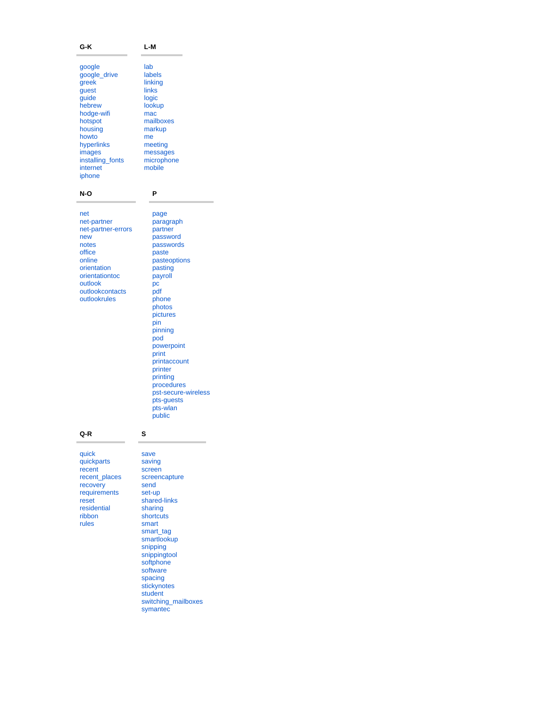#### **G-K**

#### **L-M**

**P**

[page](https://confluence.ptsem.edu/label/ITSKnowledge/page) [paragraph](https://confluence.ptsem.edu/label/ITSKnowledge/paragraph) [partner](https://confluence.ptsem.edu/label/ITSKnowledge/partner) [password](https://confluence.ptsem.edu/label/ITSKnowledge/password) [passwords](https://confluence.ptsem.edu/label/ITSKnowledge/passwords) [paste](https://confluence.ptsem.edu/label/ITSKnowledge/paste) [pasteoptions](https://confluence.ptsem.edu/label/ITSKnowledge/pasteoptions) [pasting](https://confluence.ptsem.edu/label/ITSKnowledge/pasting) [payroll](https://confluence.ptsem.edu/label/ITSKnowledge/payroll)  $pc$ [pdf](https://confluence.ptsem.edu/label/ITSKnowledge/pdf) [phone](https://confluence.ptsem.edu/label/ITSKnowledge/phone) [photos](https://confluence.ptsem.edu/label/ITSKnowledge/photos) [pictures](https://confluence.ptsem.edu/label/ITSKnowledge/pictures) [pin](https://confluence.ptsem.edu/label/ITSKnowledge/pin) [pinning](https://confluence.ptsem.edu/label/ITSKnowledge/pinning) [pod](https://confluence.ptsem.edu/label/ITSKnowledge/pod) [powerpoint](https://confluence.ptsem.edu/label/ITSKnowledge/powerpoint) [print](https://confluence.ptsem.edu/label/ITSKnowledge/print) **[printaccount](https://confluence.ptsem.edu/label/ITSKnowledge/printaccount)** [printer](https://confluence.ptsem.edu/label/ITSKnowledge/printer) [printing](https://confluence.ptsem.edu/label/ITSKnowledge/printing) [procedures](https://confluence.ptsem.edu/label/ITSKnowledge/procedures) [pst-secure-wireless](https://confluence.ptsem.edu/label/ITSKnowledge/pst-secure-wireless) [pts-guests](https://confluence.ptsem.edu/label/ITSKnowledge/pts-guests) [pts-wlan](https://confluence.ptsem.edu/label/ITSKnowledge/pts-wlan) [public](https://confluence.ptsem.edu/label/ITSKnowledge/public)

| google           | lab        |
|------------------|------------|
| google_drive     | labels     |
| greek            | linking    |
| quest            | links      |
| guide            | logic      |
| hebrew           | lookup     |
| hodge-wifi       | mac        |
| hotspot          | mailboxes  |
| housing          | markup     |
| howto            | me         |
| hyperlinks       | meeting    |
| images           | messages   |
| installing_fonts | microphone |
| internet         | mobile     |
| iphone           |            |

#### **N-O**

| net                |
|--------------------|
| net-partner        |
| net-partner-errors |
| new                |
| notes              |
| office             |
| online             |
| orientation        |
| orientationtoc     |
| outlook            |
| outlookcontacts    |
| outlookrules       |
|                    |

#### **Q-R**

[quick](https://confluence.ptsem.edu/label/ITSKnowledge/quick) [quickparts](https://confluence.ptsem.edu/label/ITSKnowledge/quickparts) [recent](https://confluence.ptsem.edu/label/ITSKnowledge/recent) [recent\\_places](https://confluence.ptsem.edu/label/ITSKnowledge/recent_places) [recovery](https://confluence.ptsem.edu/label/ITSKnowledge/recovery) [requirements](https://confluence.ptsem.edu/label/ITSKnowledge/requirements) [reset](https://confluence.ptsem.edu/label/ITSKnowledge/reset) [residential](https://confluence.ptsem.edu/label/ITSKnowledge/residential) [ribbon](https://confluence.ptsem.edu/label/ITSKnowledge/ribbon) [rules](https://confluence.ptsem.edu/label/ITSKnowledge/rules)

#### [save](https://confluence.ptsem.edu/label/ITSKnowledge/save) [saving](https://confluence.ptsem.edu/label/ITSKnowledge/saving) [screen](https://confluence.ptsem.edu/label/ITSKnowledge/screen) [screencapture](https://confluence.ptsem.edu/label/ITSKnowledge/screencapture) [send](https://confluence.ptsem.edu/label/ITSKnowledge/send) [set-up](https://confluence.ptsem.edu/label/ITSKnowledge/set-up) [shared-links](https://confluence.ptsem.edu/label/ITSKnowledge/shared-links) [sharing](https://confluence.ptsem.edu/label/ITSKnowledge/sharing) [shortcuts](https://confluence.ptsem.edu/label/ITSKnowledge/shortcuts) [smart](https://confluence.ptsem.edu/label/ITSKnowledge/smart) [smart\\_tag](https://confluence.ptsem.edu/label/ITSKnowledge/smart_tag) [smartlookup](https://confluence.ptsem.edu/label/ITSKnowledge/smartlookup) [snipping](https://confluence.ptsem.edu/label/ITSKnowledge/snipping) [snippingtool](https://confluence.ptsem.edu/label/ITSKnowledge/snippingtool) [softphone](https://confluence.ptsem.edu/label/ITSKnowledge/softphone) [software](https://confluence.ptsem.edu/label/ITSKnowledge/software) [spacing](https://confluence.ptsem.edu/label/ITSKnowledge/spacing) [stickynotes](https://confluence.ptsem.edu/label/ITSKnowledge/stickynotes)

**S**

[student](https://confluence.ptsem.edu/label/ITSKnowledge/student) [switching\\_mailboxes](https://confluence.ptsem.edu/label/ITSKnowledge/switching_mailboxes) [symantec](https://confluence.ptsem.edu/label/ITSKnowledge/symantec)